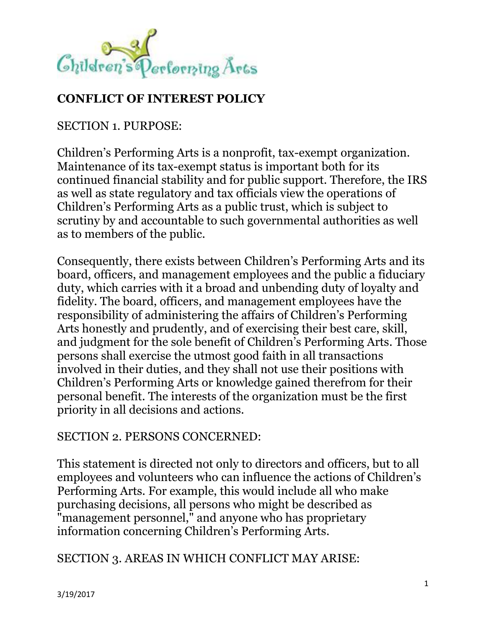

# **CONFLICT OF INTEREST POLICY**

SECTION 1. PURPOSE:

Children's Performing Arts is a nonprofit, tax-exempt organization. Maintenance of its tax-exempt status is important both for its continued financial stability and for public support. Therefore, the IRS as well as state regulatory and tax officials view the operations of Children's Performing Arts as a public trust, which is subject to scrutiny by and accountable to such governmental authorities as well as to members of the public.

Consequently, there exists between Children's Performing Arts and its board, officers, and management employees and the public a fiduciary duty, which carries with it a broad and unbending duty of loyalty and fidelity. The board, officers, and management employees have the responsibility of administering the affairs of Children's Performing Arts honestly and prudently, and of exercising their best care, skill, and judgment for the sole benefit of Children's Performing Arts. Those persons shall exercise the utmost good faith in all transactions involved in their duties, and they shall not use their positions with Children's Performing Arts or knowledge gained therefrom for their personal benefit. The interests of the organization must be the first priority in all decisions and actions.

### SECTION 2. PERSONS CONCERNED:

This statement is directed not only to directors and officers, but to all employees and volunteers who can influence the actions of Children's Performing Arts. For example, this would include all who make purchasing decisions, all persons who might be described as "management personnel," and anyone who has proprietary information concerning Children's Performing Arts.

### SECTION 3. AREAS IN WHICH CONFLICT MAY ARISE: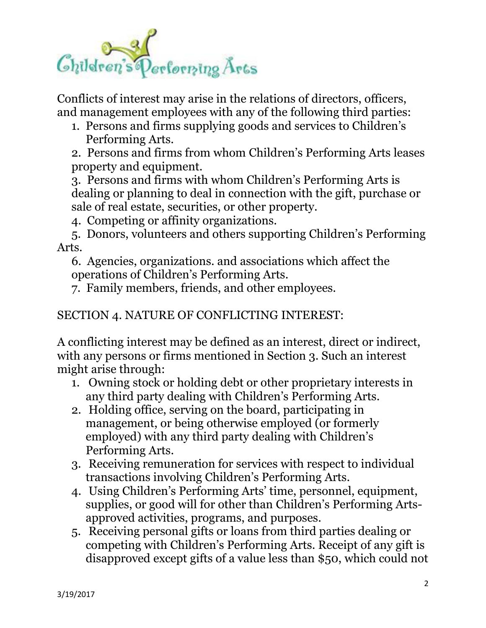

Conflicts of interest may arise in the relations of directors, officers, and management employees with any of the following third parties:

1. Persons and firms supplying goods and services to Children's Performing Arts.

2. Persons and firms from whom Children's Performing Arts leases property and equipment.

3. Persons and firms with whom Children's Performing Arts is dealing or planning to deal in connection with the gift, purchase or sale of real estate, securities, or other property.

4. Competing or affinity organizations.

5. Donors, volunteers and others supporting Children's Performing Arts.

6. Agencies, organizations. and associations which affect the operations of Children's Performing Arts.

7. Family members, friends, and other employees.

# SECTION 4. NATURE OF CONFLICTING INTEREST:

A conflicting interest may be defined as an interest, direct or indirect, with any persons or firms mentioned in Section 3. Such an interest might arise through:

- 1. Owning stock or holding debt or other proprietary interests in any third party dealing with Children's Performing Arts.
- 2. Holding office, serving on the board, participating in management, or being otherwise employed (or formerly employed) with any third party dealing with Children's Performing Arts.
- 3. Receiving remuneration for services with respect to individual transactions involving Children's Performing Arts.
- 4. Using Children's Performing Arts' time, personnel, equipment, supplies, or good will for other than Children's Performing Artsapproved activities, programs, and purposes.
- 5. Receiving personal gifts or loans from third parties dealing or competing with Children's Performing Arts. Receipt of any gift is disapproved except gifts of a value less than \$50, which could not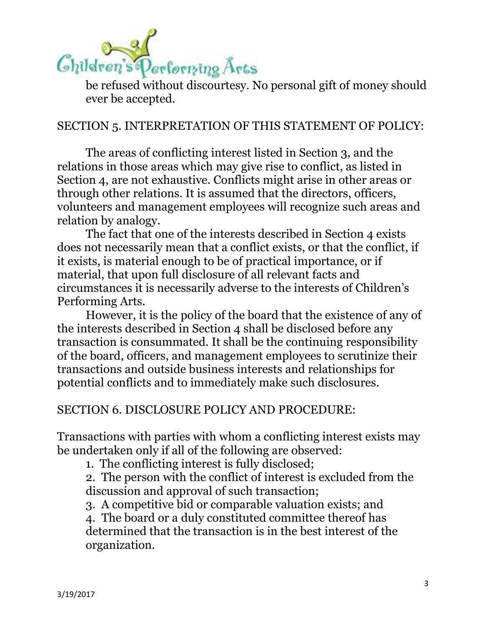

be refused without discourtesy. No personal gift of money should ever be accepted.

## SECTION 5. INTERPRETATION OF THIS STATEMENT OF POLICY:

The areas of conflicting interest listed in Section 3, and the relations in those areas which may give rise to conflict, as listed in Section 4, are not exhaustive. Conflicts might arise in other areas or through other relations. It is assumed that the directors, officers, volunteers and management employees will recognize such areas and relation by analogy.

The fact that one of the interests described in Section 4 exists does not necessarily mean that a conflict exists, or that the conflict, if it exists, is material enough to be of practical importance, or if material, that upon full disclosure of all relevant facts and circumstances it is necessarily adverse to the interests of Children's Performing Arts.

However, it is the policy of the board that the existence of any of the interests described in Section 4 shall be disclosed before any transaction is consummated. It shall be the continuing responsibility of the board, officers, and management employees to scrutinize their transactions and outside business interests and relationships for potential conflicts and to immediately make such disclosures.

#### SECTION 6. DISCLOSURE POLICY AND PROCEDURE:

Transactions with parties with whom a conflicting interest exists may be undertaken only if all of the following are observed:

1. The conflicting interest is fully disclosed;

2. The person with the conflict of interest is excluded from the discussion and approval of such transaction;

3. A competitive bid or comparable valuation exists; and

4. The board or a duly constituted committee thereof has determined that the transaction is in the best interest of the organization.